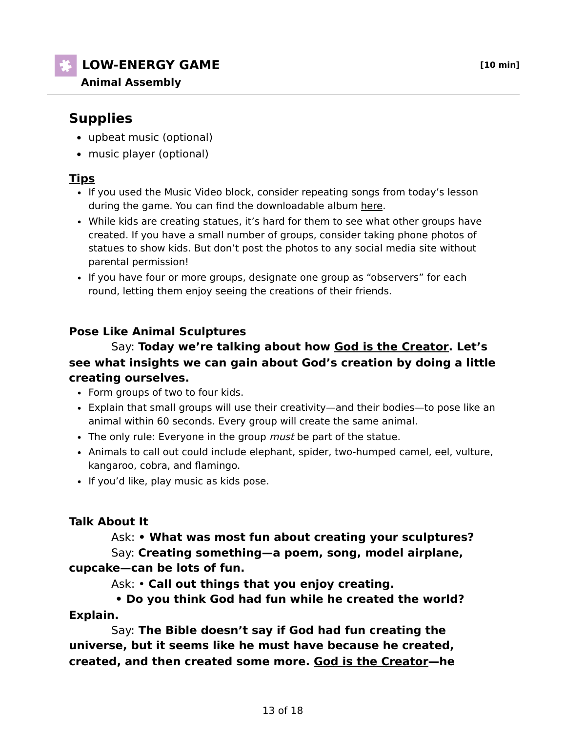**LOW-ENERGY GAME [10 min]**

# **Supplies**

- upbeat music (optional)
- music player (optional)

# **Tips**

- If you used the Music Video block, consider repeating songs from today's lesson during the game. You can find the downloadable album here.
- While kids are creating statues, it's hard for them to see what other groups have created. If you have a small number of groups, consider taking phone photos of statues to show kids. But don't post the photos to any social media site without parental permission!
- If you have four or more groups, designate one group as "observers" for each round, letting them enjoy seeing the creations of their friends.

# **Pose Like Animal Sculptures**

#### Say: **Today we're talking about how God is the Creator. Let's see what insights we can gain about God's creation by doing a little creating ourselves.**

- Form groups of two to four kids.
- Explain that small groups will use their creativity—and their bodies—to pose like an animal within 60 seconds. Every group will create the same animal.
- The only rule: Everyone in the group must be part of the statue.
- Animals to call out could include elephant, spider, two-humped camel, eel, vulture, kangaroo, cobra, and flamingo.
- If you'd like, play music as kids pose.

## **Talk About It**

 Ask: **• What was most fun about creating your sculptures?**  Say: **Creating something—a poem, song, model airplane, cupcake—can be lots of fun.**

Ask: • **Call out things that you enjoy creating.**

## **• Do you think God had fun while he created the world? Explain.**

 Say: **The Bible doesn't say if God had fun creating the universe, but it seems like he must have because he created, created, and then created some more. God is the Creator—he**